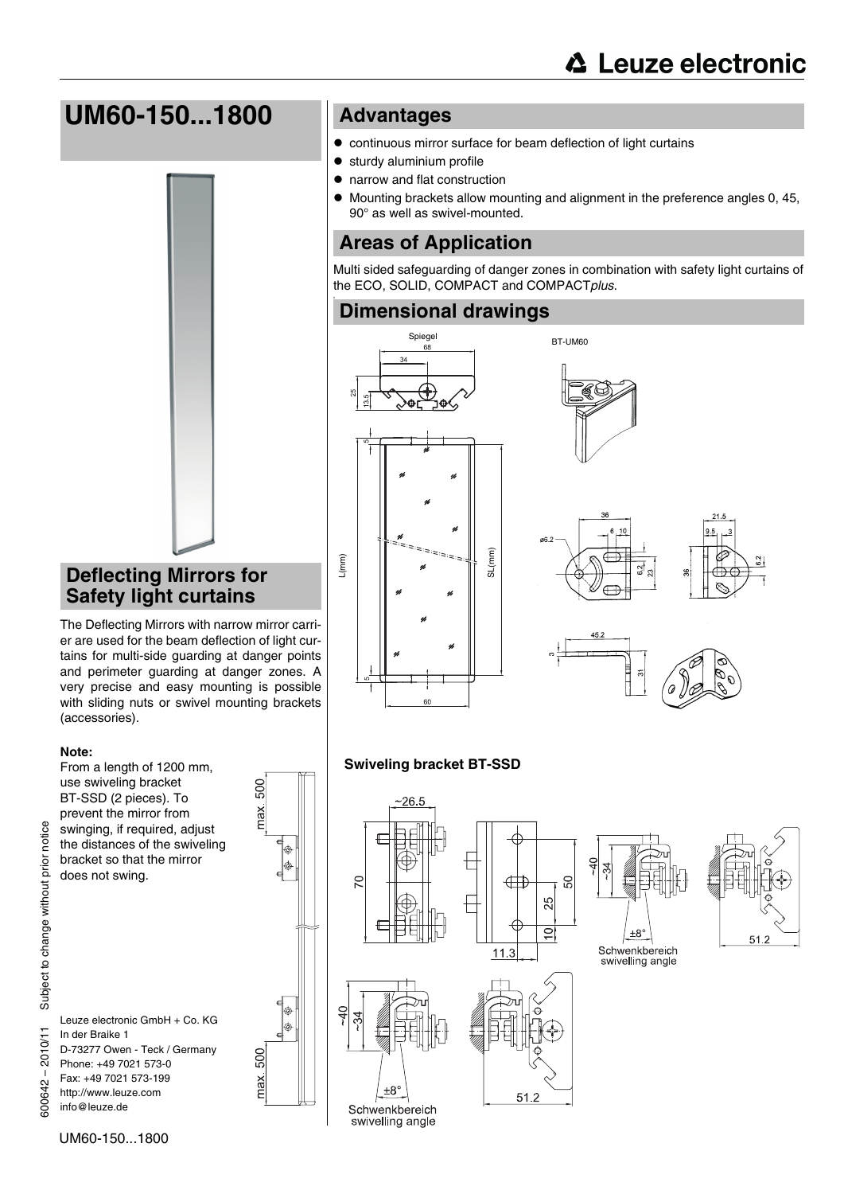# **UM60-150...1800**



## **Deflecting Mirrors for Safety light curtains**

The Deflecting Mirrors with narrow mirror carrier are used for the beam deflection of light curtains for multi-side guarding at danger points and perimeter guarding at danger zones. A very precise and easy mounting is possible with sliding nuts or swivel mounting brackets (accessories).

#### **Note:**

From a length of 1200 mm, use swiveling bracket BT-SSD (2 pieces). To prevent the mirror from swinging, if required, adjust the distances of the swiveling bracket so that the mirror does not swing.



500

500

max.

Leuze electronic GmbH + Co. KG In der Braike 1 D-73277 Owen - Teck / Germany Phone: +49 7021 573-0 Fax: +49 7021 573-199 http://www.leuze.com info@leuze.de

## **Advantages**

- $\bullet$  continuous mirror surface for beam deflection of light curtains
- $\bullet$  sturdy aluminium profile
- narrow and flat construction
- $\bullet$  Mounting brackets allow mounting and alignment in the preference angles 0, 45, 90° as well as swivel-mounted.

## **Areas of Application**

Multi sided safeguarding of danger zones in combination with safety light curtains of the ECO, SOLID, COMPACT and COMPACT*plus*.

# **Dimensional drawings**







### **Swiveling bracket BT-SSD**









notice